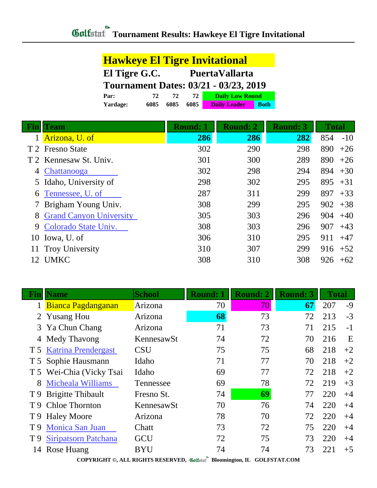| El Tigre G.C.<br><b>PuertaVallarta</b><br><b>Tournament Dates: 03/21 - 03/23, 2019</b><br><b>Daily Low Round</b><br>72 I<br>72<br>72 | <b>Hawkeye El Tigre Invitational</b> |  |  |  |  |  |
|--------------------------------------------------------------------------------------------------------------------------------------|--------------------------------------|--|--|--|--|--|
|                                                                                                                                      |                                      |  |  |  |  |  |
|                                                                                                                                      |                                      |  |  |  |  |  |
|                                                                                                                                      | Par:                                 |  |  |  |  |  |
| <b>Daily Leader</b><br>6085<br>6085<br>6085<br><b>Yardage:</b><br><b>Both</b>                                                        |                                      |  |  |  |  |  |

|     | Team                           | <b>Round: 1</b> | <b>Round: 2</b> | <b>Round: 3</b> | <b>Total</b> |
|-----|--------------------------------|-----------------|-----------------|-----------------|--------------|
|     | Arizona, U. of                 | 286             | 286             | 282             | 854<br>$-10$ |
|     | T 2 Fresno State               | 302             | 290             | 298             | 890<br>$+26$ |
|     | T 2 Kennesaw St. Univ.         | 301             | 300             | 289             | 890<br>$+26$ |
| 4   | Chattanooga                    | 302             | 298             | 294             | 894<br>$+30$ |
|     | 5 Idaho, University of         | 298             | 302             | 295             | 895<br>$+31$ |
| 6   | Tennessee, U. of               | 287             | 311             | 299             | 897<br>$+33$ |
|     | 7 Brigham Young Univ.          | 308             | 299             | 295             | 902<br>$+38$ |
| 8   | <b>Grand Canyon University</b> | 305             | 303             | 296             | 904<br>$+40$ |
|     | 9 Colorado State Univ.         | 308             | 303             | 296             | 907<br>$+43$ |
|     | 10 Iowa, U. of                 | 306             | 310             | 295             | 911<br>$+47$ |
|     | 11 Troy University             | 310             | 307             | 299             | $916 + 52$   |
| 12. | <b>UMKC</b>                    | 308             | 310             | 308             | 926<br>$+62$ |

| Fınlı | <b>Name</b>                 | <b>School</b> | <b>Round: 1</b> | <b>Round: 2</b> | <b>Round: 3</b> | <b>Total</b> |      |
|-------|-----------------------------|---------------|-----------------|-----------------|-----------------|--------------|------|
|       | Bianca Pagdanganan          | Arizona       | 70              | 70              | 67              | 207          | $-9$ |
|       | 2 Yusang Hou                | Arizona       | 68              | 73              | 72              | 213          | $-3$ |
| 3     | Ya Chun Chang               | Arizona       | 71              | 73              | 71              | 215          | $-1$ |
| 4     | Medy Thavong                | KennesawSt    | 74              | 72              | 70              | 216          | E    |
|       | T 5 Katrina Prendergast     | <b>CSU</b>    | 75              | 75              | 68              | 218          | $+2$ |
|       | T 5 Sophie Hausmann         | Idaho         | 71              | 77              | 70              | 218          | $+2$ |
|       | T 5 Wei-Chia (Vicky Tsai    | Idaho         | 69              | 77              | 72              | 218          | $+2$ |
| 8     | Micheala Williams           | Tennessee     | 69              | 78              | 72              | 219          | $+3$ |
|       | T 9 Brigitte Thibault       | Fresno St.    | 74              | 69              | 77              | 220          | $+4$ |
|       | T 9 Chloe Thornton          | KennesawSt    | 70              | 76              | 74              | 220          | $+4$ |
|       | T 9 Haley Moore             | Arizona       | 78              | 70              | 72              | 220          | $+4$ |
| T 9   | <b>Monica San Juan</b>      | Chatt         | 73              | 72              | 75              | 220          | $+4$ |
| T 9   | <b>Siripatsorn Patchana</b> | <b>GCU</b>    | 72              | 75              | 73              | 220          | $+4$ |
| 14    | Rose Huang                  | BYU           | 74              | 74              | 73              | 221          | $+5$ |

**COPYRIGHT ©, ALL RIGHTS RESERVED, Colfstatl** Bloomington, IL GOLFSTAT.COM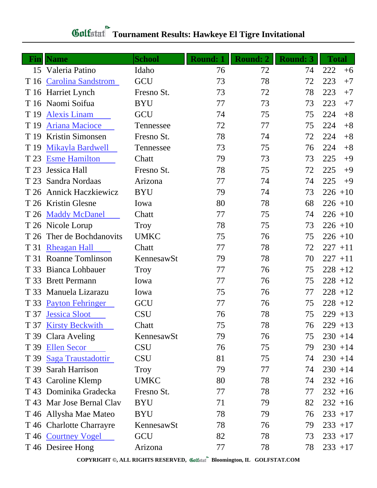| Fin  | <b>Name</b>               | <b>School</b> | <b>Round: 1</b> | <b>Round: 2</b> | <b>Round: 3</b> | <b>Total</b> |
|------|---------------------------|---------------|-----------------|-----------------|-----------------|--------------|
| 15   | Valeria Patino            | Idaho         | 76              | 72              | 74              | 222<br>$+6$  |
|      | T 16 Carolina Sandstrom   | GCU           | 73              | 78              | 72              | 223<br>$+7$  |
|      | T 16 Harriet Lynch        | Fresno St.    | 73              | 72              | 78              | 223<br>$+7$  |
|      | T 16 Naomi Soifua         | <b>BYU</b>    | 77              | 73              | 73              | 223<br>$+7$  |
| T 19 | <b>Alexis Linam</b>       | GCU           | 74              | 75              | 75              | $+8$<br>224  |
| T 19 | <b>Ariana Macioce</b>     | Tennessee     | 72              | 77              | 75              | 224<br>$+8$  |
| T 19 | Kristin Simonsen          | Fresno St.    | 78              | 74              | 72              | $+8$<br>224  |
| T 19 | <b>Mikayla Bardwell</b>   | Tennessee     | 73              | 75              | 76              | 224<br>$+8$  |
| T 23 | <b>Esme Hamilton</b>      | Chatt         | 79              | 73              | 73              | 225<br>$+9$  |
| T 23 | Jessica Hall              | Fresno St.    | 78              | 75              | 72              | 225<br>$+9$  |
| T 23 | Sandra Nordaas            | Arizona       | 77              | 74              | 74              | 225<br>$+9$  |
|      | T 26 Annick Haczkiewicz   | <b>BYU</b>    | 79              | 74              | 73              | $226 + 10$   |
|      | T 26 Kristin Glesne       | Iowa          | 80              | 78              | 68              | $226 + 10$   |
|      | T 26 Maddy McDanel        | Chatt         | 77              | 75              | 74              | $226 + 10$   |
|      | T 26 Nicole Lorup         | Troy          | 78              | 75              | 73              | $226 + 10$   |
|      | T 26 Ther de Bochdanovits | <b>UMKC</b>   | 75              | 76              | 75              | $226 + 10$   |
| T 31 | <b>Rheagan Hall</b>       | Chatt         | 77              | 78              | 72              | $227 + 11$   |
|      | T 31 Roanne Tomlinson     | KennesawSt    | 79              | 78              | 70              | $227 + 11$   |
| T 33 | Bianca Lohbauer           | Troy          | 77              | 76              | 75              | $228 + 12$   |
| T 33 | <b>Brett Permann</b>      | Iowa          | 77              | 76              | 75              | $228 + 12$   |
| T 33 | Manuela Lizarazu          | Iowa          | 75              | 76              | 77              | $228 + 12$   |
| T 33 | <b>Payton Fehringer</b>   | GCU           | 77              | 76              | 75              | $228 + 12$   |
|      | T 37 Jessica Sloot        | <b>CSU</b>    | 76              | 78              | 75              | $229 + 13$   |
|      | T 37 Kirsty Beckwith      | Chatt         | 75              | 78              | 76              | $229 + 13$   |
|      | T 39 Clara Aveling        | KennesawSt    | 79              | 76              | 75              | $230 + 14$   |
|      | T 39 Ellen Secor          | <b>CSU</b>    | 76              | 75              | 79              | $230 + 14$   |
|      | T 39 Saga Traustadottir   | <b>CSU</b>    | 81              | 75              | 74              | $230 + 14$   |
|      | T 39 Sarah Harrison       | Troy          | 79              | 77              | 74              | $230 + 14$   |
|      | T 43 Caroline Klemp       | <b>UMKC</b>   | 80              | 78              | 74              | $232 + 16$   |
|      | T 43 Dominika Gradecka    | Fresno St.    | 77              | 78              | 77              | $232 + 16$   |
|      | T 43 Mar Jose Bernal Clav | <b>BYU</b>    | 71              | 79              | 82              | $232 + 16$   |
|      | T 46 Allysha Mae Mateo    | <b>BYU</b>    | 78              | 79              | 76              | $233 + 17$   |
|      | T 46 Charlotte Charrayre  | KennesawSt    | 78              | 76              | 79              | $233 + 17$   |
|      | T 46 Courtney Vogel       | GCU           | 82              | 78              | 73              | $233 + 17$   |
|      | T 46 Desiree Hong         | Arizona       | 77              | 78              | 78              | $233 + 17$   |

## **Gulfatat** Tournament Results: Hawkeye El Tigre Invitational